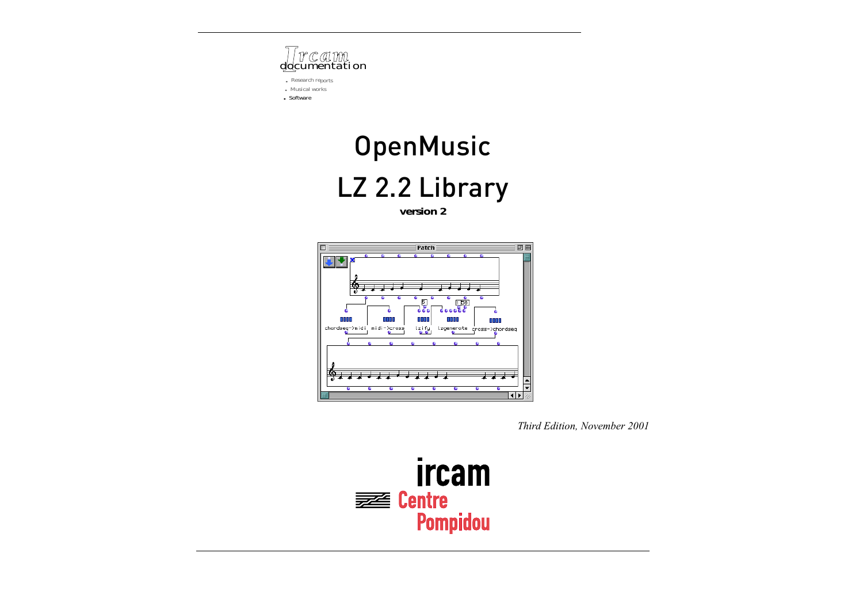

*• Research reports • Musical works*

*• Software*

# **OpenMusic** LZ 2.2 Library

**version 2**



*Third Edition, November 2001*

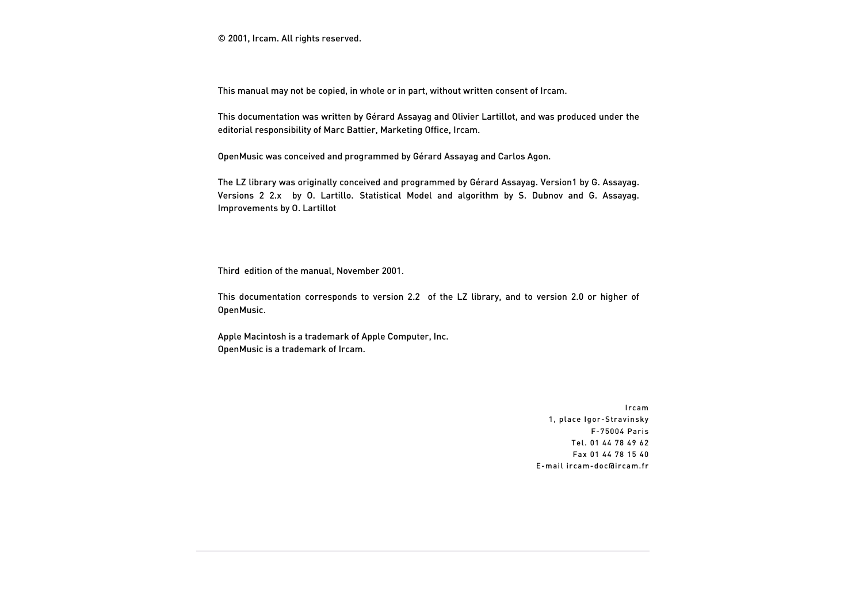© 2001, Ircam. All rights reserved.

This manual may not be copied, in whole or in part, without written consent of Ircam.

This documentation was written by Gérard Assayag and Olivier Lartillot, and was produced under the editorial responsibility of Marc Battier, Marketing Office, Ircam.

OpenMusic was conceived and programmed by Gérard Assayag and Carlos Agon.

The LZ library was originally conceived and programmed by Gérard Assayag. Version1 by G. Assayag. Versions 2 2.x by O. Lartillo. Statistical Model and algorithm by S. Dubnov and G. Assayag. Improvements by O. Lartillot

Third edition of the manual, November 2001.

This documentation corresponds to version 2.2 of the LZ library, and to version 2.0 or higher of OpenMusic.

Apple Macintosh is a trademark of Apple Computer, Inc. OpenMusic is a trademark of Ircam.

> Ircam 1, place Igor-Stravinsky F-75004 Paris Tel. 01 44 78 49 62 Fax 01 44 78 15 40 E-mail ircam-doc@ircam.fr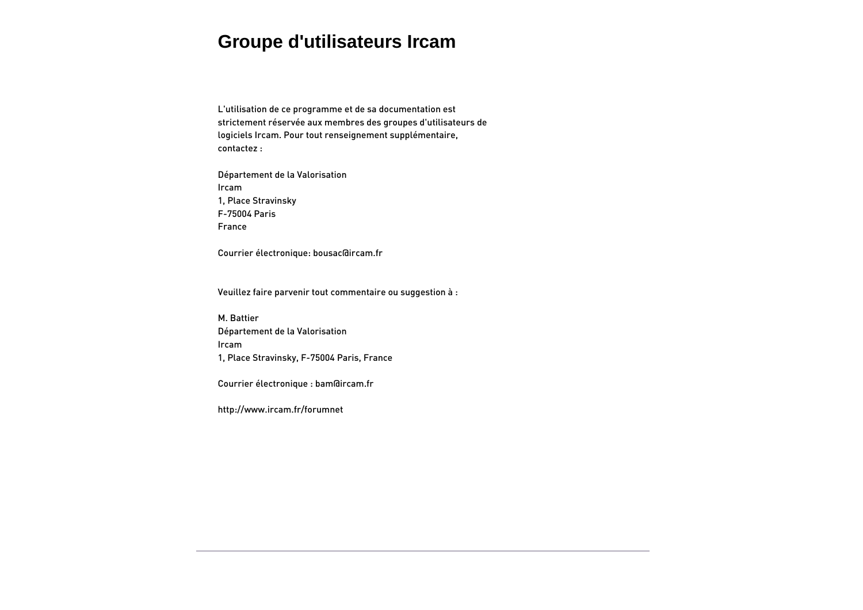# **Groupe d'utilisateurs Ircam**

L'utilisation de ce programme et de sa documentation est strictement réservée aux membres des groupes d'utilisateurs de logiciels Ircam. Pour tout renseignement supplémentaire, contactez :

Département de la Valorisation Ircam 1, Place Stravinsky F-75004 Paris France

Courrier électronique: bousac@ircam.fr

Veuillez faire parvenir tout commentaire ou suggestion à :

M. Battier Département de la Valorisation Ircam 1, Place Stravinsky, F-75004 Paris, France

Courrier électronique : bam@ircam.fr

http://www.ircam.fr/forumnet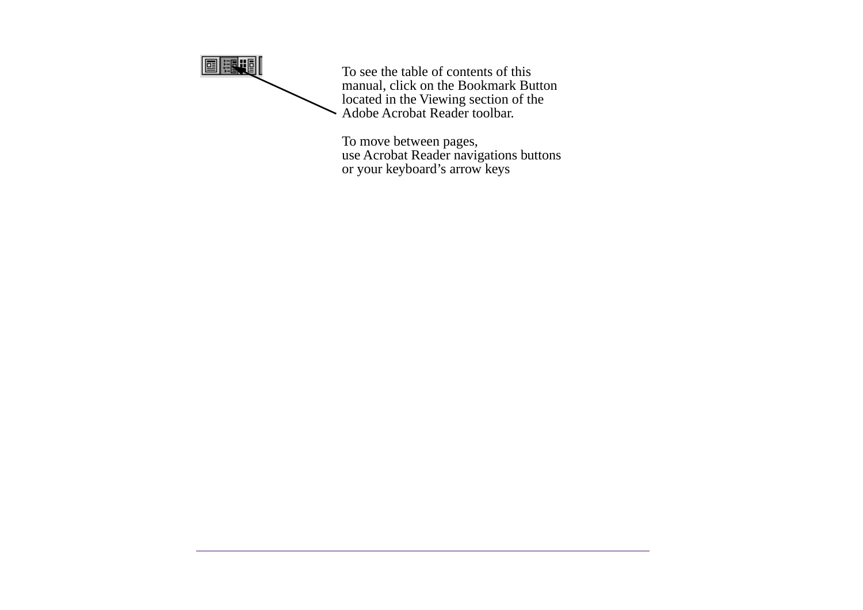

To see the table of contents of this manual, click on the Bookmark Button located in the Viewing section of the Adobe Acrobat Reader toolbar.

To move between pages, use Acrobat Reader navigations buttons or your keyboard's arrow keys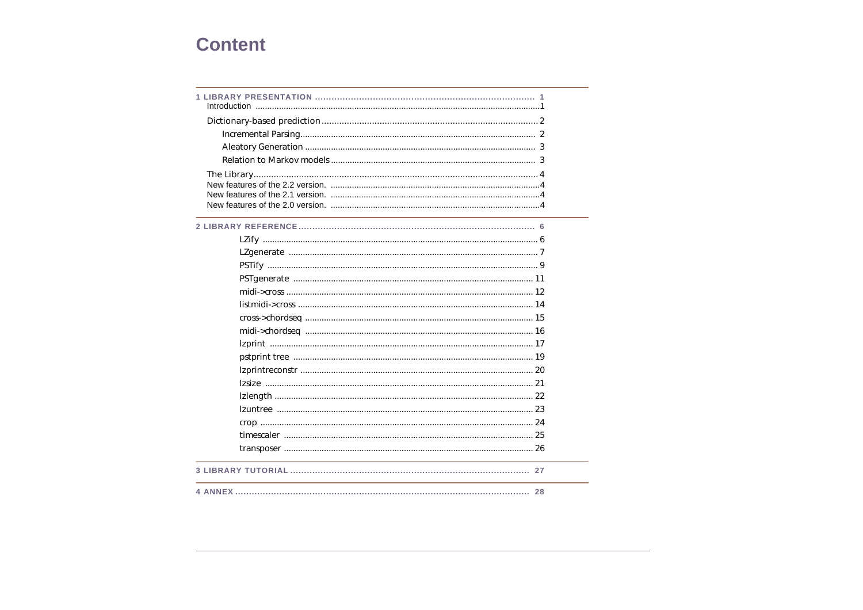# **Content**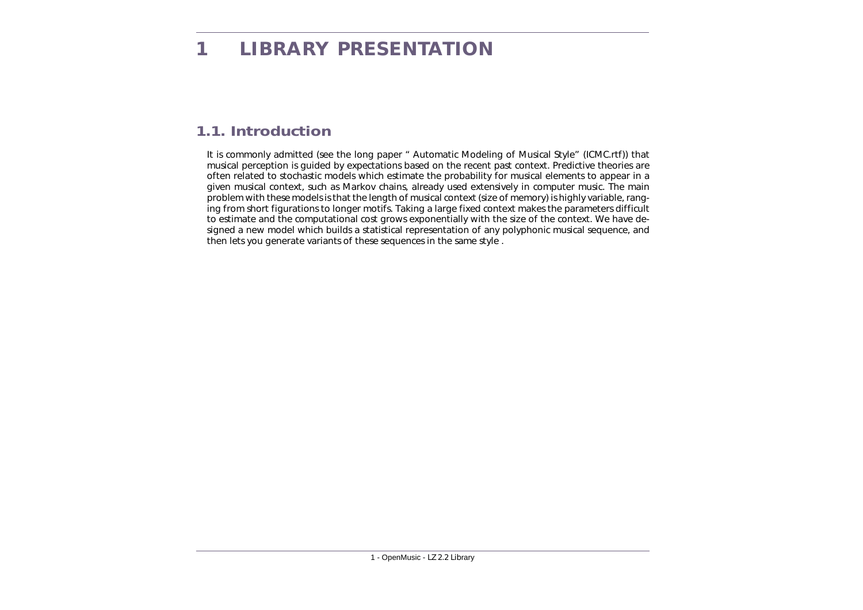# <span id="page-5-1"></span><span id="page-5-0"></span>**1.1. Introduction**

It is commonly admitted (see the long paper " Automatic Modeling of Musical Style" (ICMC.rtf)) that musical perception is guided by expectations based on the recent past context. Predictive theories are often related to stochastic models which estimate the probability for musical elements to appear in a given musical context, such as Markov chains, already used extensively in computer music. The main problem with these models is that the length of musical context (size of memory) is highly variable, ranging from short figurations to longer motifs. Taking a large fixed context makes the parameters difficult to estimate and the computational cost grows exponentially with the size of the context. We have designed a new model which builds a statistical representation of any polyphonic musical sequence, and then lets you generate variants of these sequences in the same style .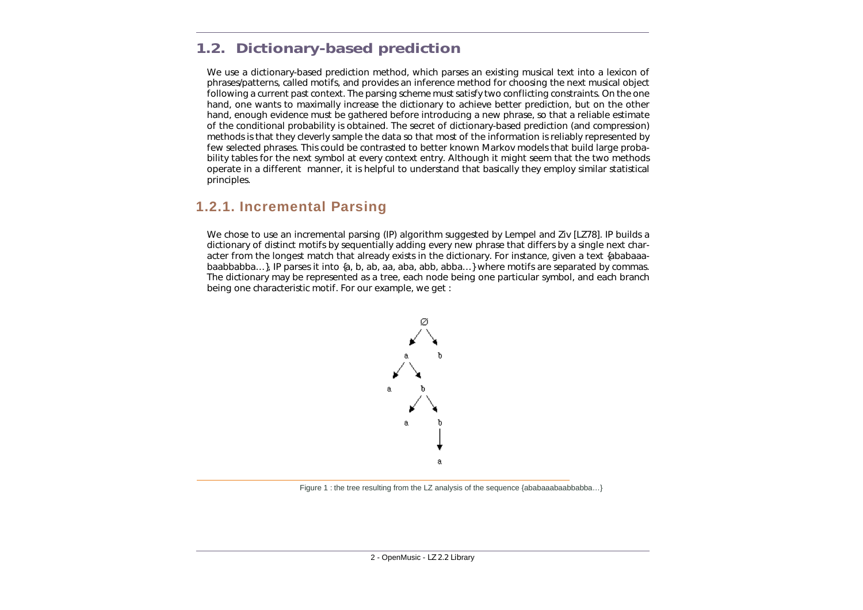# <span id="page-6-0"></span>**1.2. Dictionary-based prediction**

We use a dictionary-based prediction method, which parses an existing musical text into a lexicon of phrases/patterns, called *motifs*, and provides an inference method for choosing the next musical object following a current past *context*. The parsing scheme must satisfy two conflicting constraints. On the one hand, one wants to maximally increase the dictionary to achieve better prediction, but on the other hand, enough evidence must be gathered before introducing a new phrase, so that a reliable estimate of the conditional probability is obtained. The secret of dictionary-based prediction (and compression) methods is that they cleverly sample the data so that most of the information is reliably represented by few selected phrases. This could be contrasted to better known Markov models that build large probability tables for the next symbol at every context entry. Although it might seem that the two methods operate in a different manner, it is helpful to understand that basically they employ similar statistical principles.

### <span id="page-6-1"></span>**1.2.1. Incremental Parsing**

We chose to use an incremental parsing (IP) algorithm suggested by Lempel and Ziv [LZ78]. IP builds a dictionary of distinct motifs by sequentially adding every new phrase that differs by a single next character from the longest match that already exists in the dictionary. For instance, given a text {ababaaabaabbabba…}, IP parses it into {a, b, ab, aa, aba, abb, abba…} where motifs are separated by commas. The dictionary may be represented as a tree, each node being one particular symbol, and each branch being one characteristic motif. For our example, we get :



Figure 1 : the tree resulting from the LZ analysis of the sequence {ababaaabaabbabba...}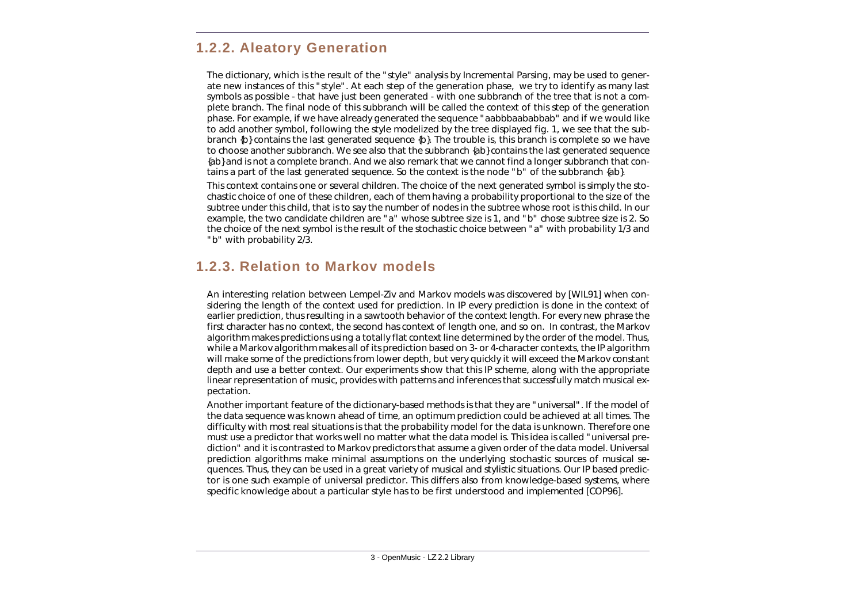### <span id="page-7-0"></span>**1.2.2. Aleatory Generation**

The dictionary, which is the result of the "style" analysis by Incremental Parsing, may be used to generate new instances of this "style". At each step of the generation phase, we try to identify as many last symbols as possible - that have just been generated - with one subbranch of the tree that is not a complete branch. The final node of this subbranch will be called the *context* of this step of the generation phase. For example, if we have already generated the sequence "aabbbaababbab" and if we would like to add another symbol, following the style modelized by the tree displayed fig. 1, we see that the subbranch {b} contains the last generated sequence {b}. The trouble is, this branch is complete so we have to choose another subbranch. We see also that the subbranch {ab} contains the last generated sequence {ab} and is not a complete branch. And we also remark that we cannot find a longer subbranch that contains a part of the last generated sequence. So the context is the node "b" of the subbranch {ab}.

This context contains one or several children. The choice of the next generated symbol is simply the stochastic choice of one of these children, each of them having a probability proportional to the size of the subtree under this child, that is to say the number of nodes in the subtree whose root is this child. In our example, the two candidate children are "a" whose subtree size is 1, and "b" chose subtree size is 2. So the choice of the next symbol is the result of the stochastic choice between "a" with probability 1/3 and "b" with probability 2/3.

### <span id="page-7-1"></span>**1.2.3. Relation to Markov models**

An interesting relation between Lempel-Ziv and Markov models was discovered by [WIL91] when considering the length of the context used for prediction. In IP every prediction is done in the context of earlier prediction, thus resulting in a sawtooth behavior of the context length. For every new phrase the first character has no context, the second has context of length one, and so on. In contrast, the Markov algorithm makes predictions using a totally flat context line determined by the order of the model. Thus, while a Markov algorithm makes all of its prediction based on 3- or 4-character contexts, the IP algorithm will make some of the predictions from lower depth, but very quickly it will exceed the Markov constant depth and use a better context. Our experiments show that this IP scheme, along with the appropriate linear representation of music, provides with patterns and inferences that successfully match musical expectation.

Another important feature of the dictionary-based methods is that they are "universal". If the model of the data sequence was known ahead of time, an optimum prediction could be achieved at all times. The difficulty with most real situations is that the probability model for the data is unknown. Therefore one must use a predictor that works well no matter what the data model is. This idea is called "universal prediction" and it is contrasted to Markov predictors that assume a given order of the data model. Universal prediction algorithms make minimal assumptions on the underlying stochastic sources of musical sequences. Thus, they can be used in a great variety of musical and stylistic situations. Our IP based predictor is one such example of universal predictor. This differs also from knowledge-based systems, where specific knowledge about a particular style has to be first understood and implemented [COP96].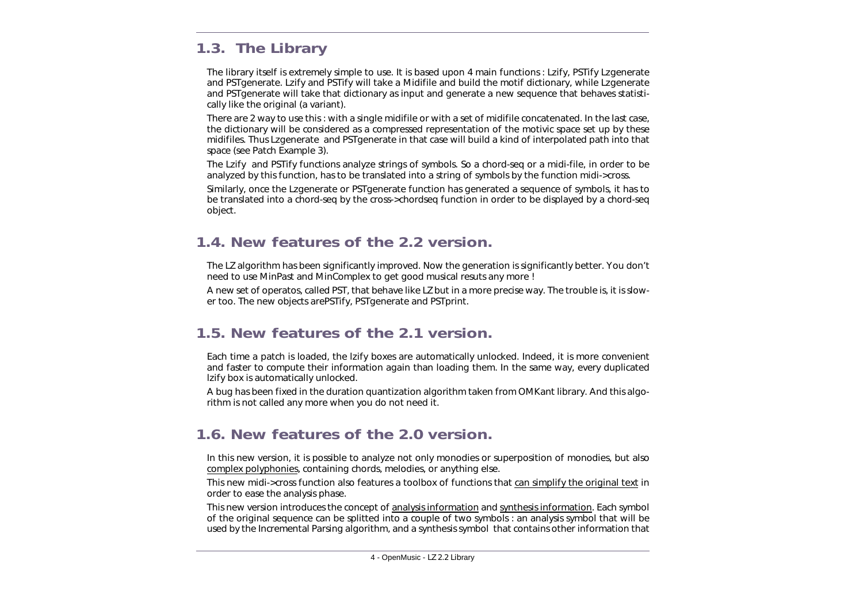# <span id="page-8-0"></span>**1.3. The Library**

The library itself is extremely simple to use. It is based upon 4 main functions : *Lzify*, PSTify *Lzgenerate* and PSTgenerate. *Lzify* and PSTify will take a Midifile and build the motif dictionary, while *Lzgenerate* and PSTgenerate will take that dictionary as input and generate a new sequence that behaves statistically like the original (a *variant*).

There are 2 way to use this : with a single midifile or with a set of midifile concatenated. In the last case, the dictionary will be considered as a compressed representation of the *motivic* space set up by these midifiles. Thus *Lzgenerate* and PSTgenerate in that case will build a kind of interpolated path into that space (see Patch Example 3).

The *Lzify* and PSTify functions analyze strings of symbols. So a chord-seq or a midi-file, in order to be analyzed by this function, has to be translated into a string of symbols by the function *midi->cross*.

Similarly, once the *Lzgenerate* or *PSTgenerate* function has generated a sequence of symbols, it has to be translated into a chord-seq by the *cross->chordseq* function in order to be displayed by a chord-seq object.

# <span id="page-8-1"></span>**1.4. New features of the 2.2 version.**

The LZ algorithm has been significantly improved. Now the generation is significantly better. You don't need to use *MinPast* and *MinComplex* to get good musical resuts any more !

A new set of operatos, called PST, that behave like LZ but in a more precise way. The trouble is, it is slower too. The new objects are*PSTify*, *PSTgenerate* and *PSTprint*.

# <span id="page-8-2"></span>**1.5. New features of the 2.1 version.**

Each time a patch is loaded, the *lzify* boxes are automatically unlocked. Indeed, it is more convenient and faster to compute their information again than loading them. In the same way, every duplicated *lzify* box is automatically unlocked.

A bug has been fixed in the duration quantization algorithm taken from *OMKant* library. And this algorithm is not called any more when you do not need it.

# <span id="page-8-3"></span>**1.6. New features of the 2.0 version.**

In this new version, it is possible to analyze not only monodies or superposition of monodies, but also complex polyphonies, containing chords, melodies, or anything else.

This new *midi->cross* function also features a toolbox of functions that can simplify the original text in order to ease the analysis phase.

This new version introduces the concept of *analysis information* and *synthesis information*. Each symbol of the original sequence can be splitted into a couple of two symbols : an *analysis symbol* that will be used by the Incremental Parsing algorithm, and a *synthesis symbol* that contains other information that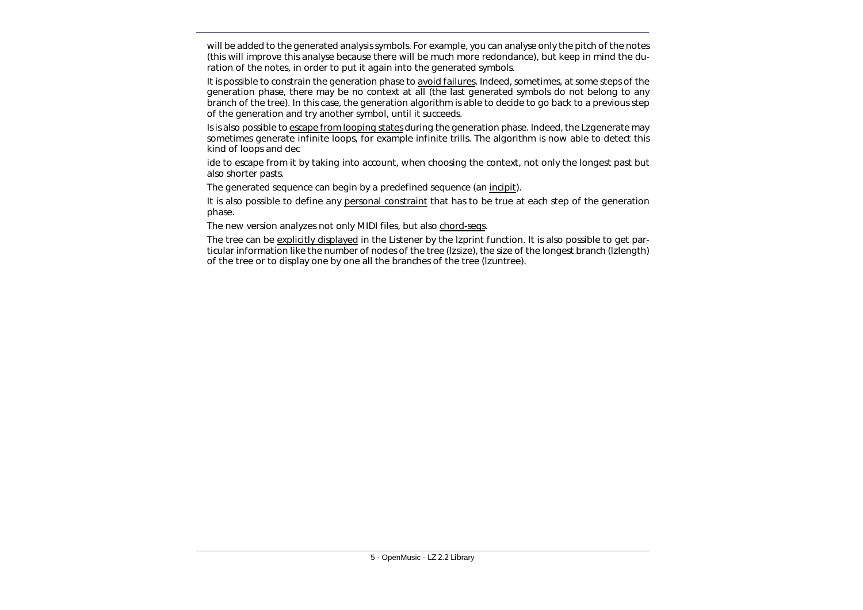will be added to the generated analysis symbols. For example, you can analyse only the pitch of the notes (this will improve this analyse because there will be much more redondance), but keep in mind the duration of the notes, in order to put it again into the generated symbols.

It is possible to constrain the generation phase to avoid *failures*. Indeed, sometimes, at some steps of the generation phase, there may be no context at all (the last generated symbols do not belong to any branch of the tree). In this case, the generation algorithm is able to decide to go back to a previous step of the generation and try another symbol, until it succeeds.

Is is also possible to escape from looping states during the generation phase. Indeed, the *Lzgenerate* may sometimes generate infinite loops, for example infinite trills. The algorithm is now able to detect this kind of loops and dec

ide to escape from it by taking into account, when choosing the context, not only the longest past but also shorter pasts.

The generated sequence can begin by a predefined sequence (an *incipit*).

It is also possible to define any personal constraint that has to be true at each step of the generation phase.

The new version analyzes not only MIDI files, but also chord-seqs.

The tree can be explicitly displayed in the Listener by the *lzprint* function. It is also possible to get particular information like the number of nodes of the tree (*lzsize*), the size of the longest branch (*lzlength*) of the tree or to display one by one all the branches of the tree (*lzuntree*).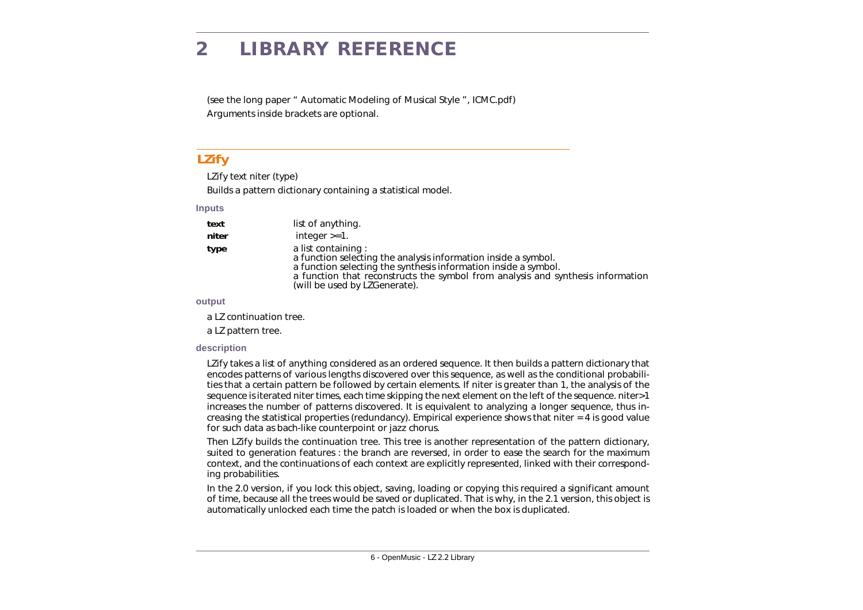# <span id="page-10-0"></span>**2 LIBRARY REFERENCE**

(see the long paper " Automatic Modeling of Musical Style ", ICMC.pdf) Arguments inside brackets are optional.

### <span id="page-10-1"></span>**LZify**

LZify *text niter (type)*

Builds a pattern dictionary containing a statistical model.

#### **Inputs**

| text | list of anything. |
|------|-------------------|
|      |                   |

*niter* integer >=1.

**type** a list containing : a function selecting the analysis information inside a symbol. a function selecting the synthesis information inside a symbol.

a function that reconstructs the symbol from analysis and synthesis information (will be used by *LZGenerate*).

### **output**

a LZ continuation tree.

a LZ pattern tree.

### **description**

*LZify* takes a list of anything considered as an ordered sequence. It then builds a pattern dictionary that encodes patterns of various lengths discovered over this sequence, as well as the conditional probabilities that a certain pattern be followed by certain elements. If *niter* is greater than 1, the analysis of the sequence is iterated *niter* times, each time skipping the next element on the left of the sequence. *niter*>1 increases the number of patterns discovered. It is equivalent to analyzing a longer sequence, thus increasing the statistical properties (redundancy). Empirical experience shows that *niter* = 4 is good value for such data as bach-like counterpoint or jazz chorus.

Then *LZify* builds the continuation tree. This tree is another representation of the pattern dictionary, suited to generation features : the branch are reversed, in order to ease the search for the maximum context, and the continuations of each context are explicitly represented, linked with their corresponding probabilities.

In the 2.0 version, if you lock this object, saving, loading or copying this required a significant amount of time, because all the trees would be saved or duplicated. That is why, in the 2.1 version, this object is automatically unlocked each time the patch is loaded or when the box is duplicated.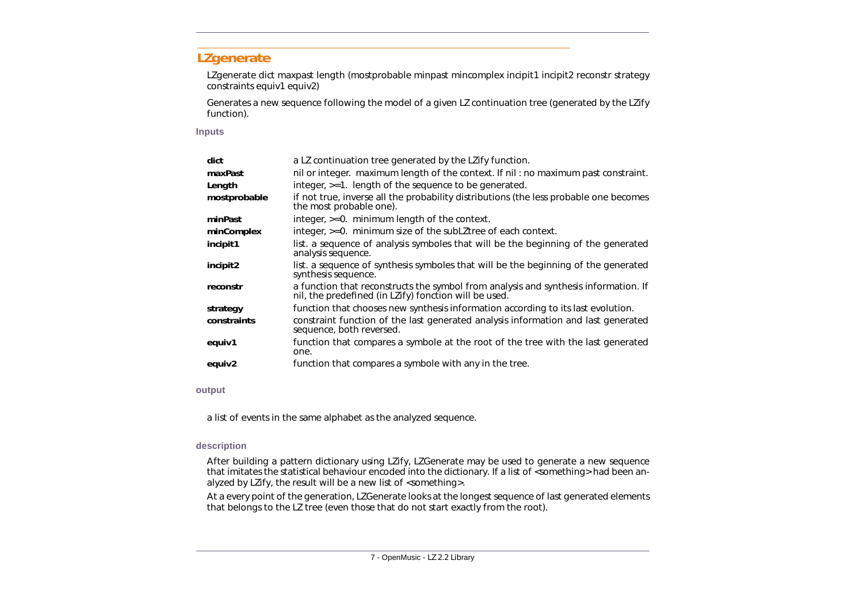### <span id="page-11-0"></span>**LZgenerate**

LZgenerate *dict maxpast length (mostprobable minpast mincomplex incipit1 incipit2 reconstr strategy constraints equiv1 equiv2)*

Generates a new sequence following the model of a given LZ continuation tree (generated by the *LZify* function).

#### **Inputs**

| dict            | a LZ continuation tree generated by the LZify function.                                                                                              |
|-----------------|------------------------------------------------------------------------------------------------------------------------------------------------------|
| maxPast         | nil or integer. maximum length of the context. If nil: no maximum past constraint.                                                                   |
| Length          | integer, >=1. length of the sequence to be generated.                                                                                                |
| mostprobable    | if not true, inverse all the probability distributions (the less probable one becomes<br>the most probable one).                                     |
| minPast         | integer, $>=0$ . minimum length of the context.                                                                                                      |
| minComplex      | integer, >=0. minimum size of the subLZtree of each context.                                                                                         |
| incipit1        | list. a sequence of analysis symboles that will be the beginning of the generated<br>analysis sequence.                                              |
| <i>incipit2</i> | list. a sequence of synthesis symboles that will be the beginning of the generated<br>synthesis sequence.                                            |
| reconstr        | a function that reconstructs the symbol from analysis and synthesis information. If<br>nil, the predefined (in <i>LZify</i> ) fonction will be used. |
| strategy        | function that chooses new synthesis information according to its last evolution.                                                                     |
| constraints     | constraint function of the last generated analysis information and last generated<br>sequence, both reversed.                                        |
| equiv1          | function that compares a symbole at the root of the tree with the last generated<br>one.                                                             |
| equiv2          | function that compares a symbole with any in the tree.                                                                                               |
|                 |                                                                                                                                                      |

**output**

a list of events in the same alphabet as the analyzed sequence.

#### **description**

After building a pattern dictionary using *LZify*, *LZGenerate* may be used to generate a new sequence that imitates the statistical behaviour encoded into the dictionary. If a list of <something> had been analyzed by LZify, the result will be a new list of <something>.

At a every point of the generation, LZGenerate looks at the longest sequence of last generated elements that belongs to the LZ tree (even those that do not start exactly from the root).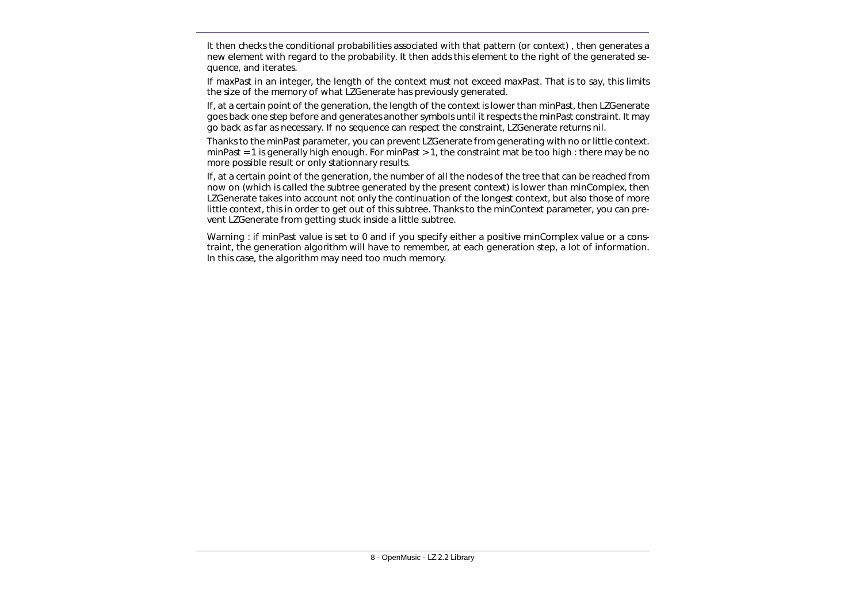It then checks the conditional probabilities associated with that pattern (or context) , then generates a new element with regard to the probability. It then adds this element to the right of the generated sequence, and iterates.

If *maxPast* in an integer, the length of the context must not exceed *maxPast*. That is to say, this limits the size of the memory of what LZGenerate has previously generated.

If, at a certain point of the generation, the length of the context is lower than *minPast*, then *LZGenerate* goes back one step before and generates another symbols until it respects the *minPast* constraint. It may go back as far as necessary. If no sequence can respect the constraint, *LZGenerate* returns *nil*.

Thanks to the *minPast* parameter, you can prevent *LZGenerate* from generating with no or little context. *minPast* = 1 is generally high enough. For *minPast* > 1, the constraint mat be too high : there may be no more possible result or only stationnary results.

If, at a certain point of the generation, the number of all the nodes of the tree that can be reached from now on (which is called the subtree generated by the present context) is lower than *minComplex*, then *LZGenerate* takes into account not only the continuation of the longest context, but also those of more little context, this in order to get out of this subtree. Thanks to the *minContext* parameter, you can prevent *LZGenerate* from getting stuck inside a little subtree.

Warning : if minPast value is set to 0 and if you specify either a positive minComplex value or a constraint, the generation algorithm will have to remember, at each generation step, a lot of information. In this case, the algorithm may need too much memory.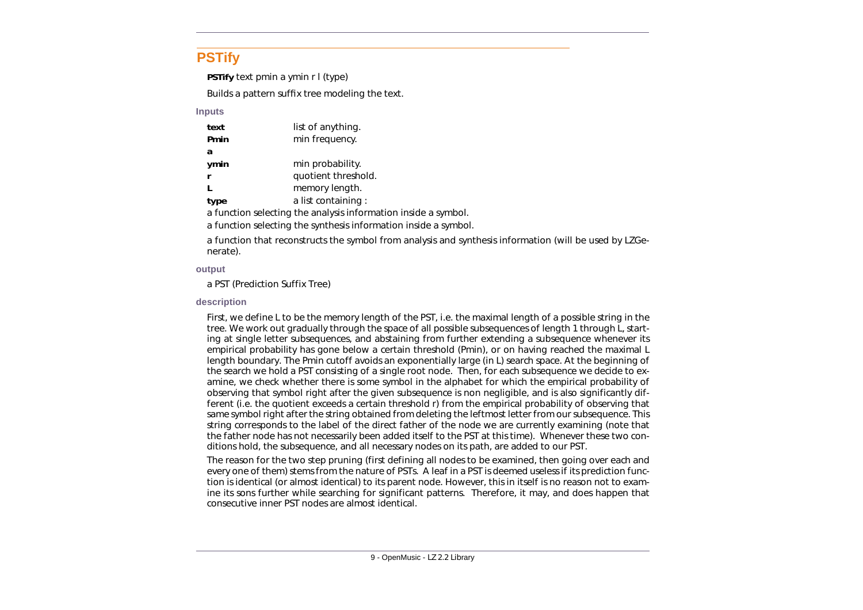### <span id="page-13-0"></span>**PSTify**

**PSTify** *text pmin a ymin r l (type)*

Builds a pattern suffix tree modeling the text.

#### **Inputs**

| text | list of anything.                                              |
|------|----------------------------------------------------------------|
| Pmin | min frequency.                                                 |
| a    |                                                                |
| ymin | min probability.                                               |
|      | quotient threshold.                                            |
|      | memory length.                                                 |
| type | a list containing:                                             |
|      | a function selecting the analysis information inside a symbol. |

a function selecting the synthesis information inside a symbol.

a function that reconstructs the symbol from analysis and synthesis information (will be used by *LZGenerate*).

#### **output**

a PST (Prediction Suffix Tree)

#### **description**

First, we define L to be the memory length of the PST, i.e. the maximal length of a possible string in the tree. We work out gradually through the space of all possible subsequences of length 1 through L, starting at single letter subsequences, and abstaining from further extending a subsequence whenever its empirical probability has gone below a certain threshold (Pmin), or on having reached the maximal L length boundary. The Pmin cutoff avoids an exponentially large (in L) search space. At the beginning of the search we hold a PST consisting of a single root node. Then, for each subsequence we decide to examine, we check whether there is some symbol in the alphabet for which the empirical probability of observing that symbol right after the given subsequence is non negligible, and is also significantly different (i.e. the quotient exceeds a certain threshold r) from the empirical probability of observing that same symbol right after the string obtained from deleting the leftmost letter from our subsequence. This string corresponds to the label of the direct father of the node we are currently examining (note that the father node has not necessarily been added itself to the PST at this time). Whenever these two conditions hold, the subsequence, and all necessary nodes on its path, are added to our PST.

The reason for the two step pruning (first defining all nodes to be examined, then going over each and every one of them) stems from the nature of PSTs. A leaf in a PST is deemed useless if its prediction function is identical (or almost identical) to its parent node. However, this in itself is no reason not to examine its sons further while searching for significant patterns. Therefore, it may, and does happen that consecutive inner PST nodes are almost identical.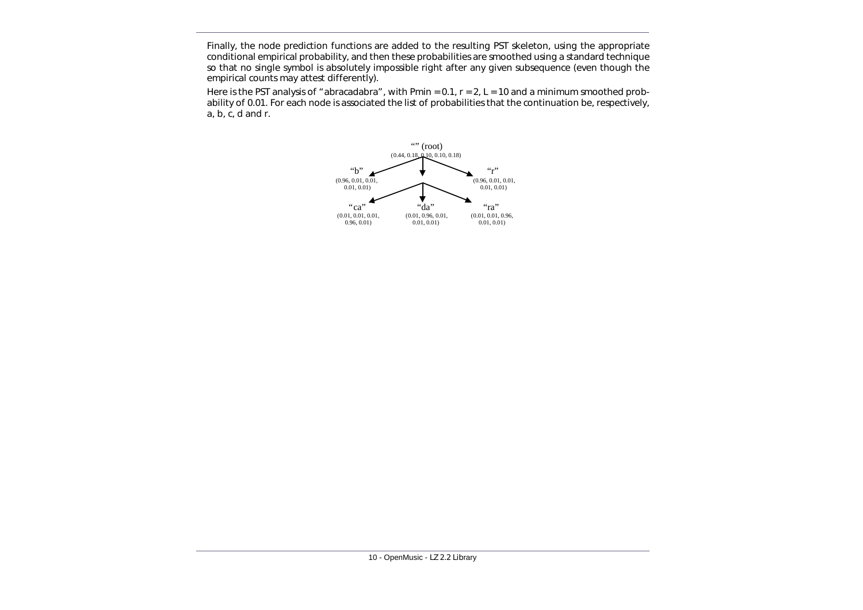Finally, the node prediction functions are added to the resulting PST skeleton, using the appropriate conditional empirical probability, and then these probabilities are smoothed using a standard technique so that no single symbol is absolutely impossible right after any given subsequence (even though the empirical counts may attest differently).

Here is the PST analysis of "abracadabra", with Pmin =  $0.1$ ,  $r = 2$ ,  $L = 10$  and a minimum smoothed probability of 0.01. For each node is associated the list of probabilities that the continuation be, respectively, a, b, c, d and r.

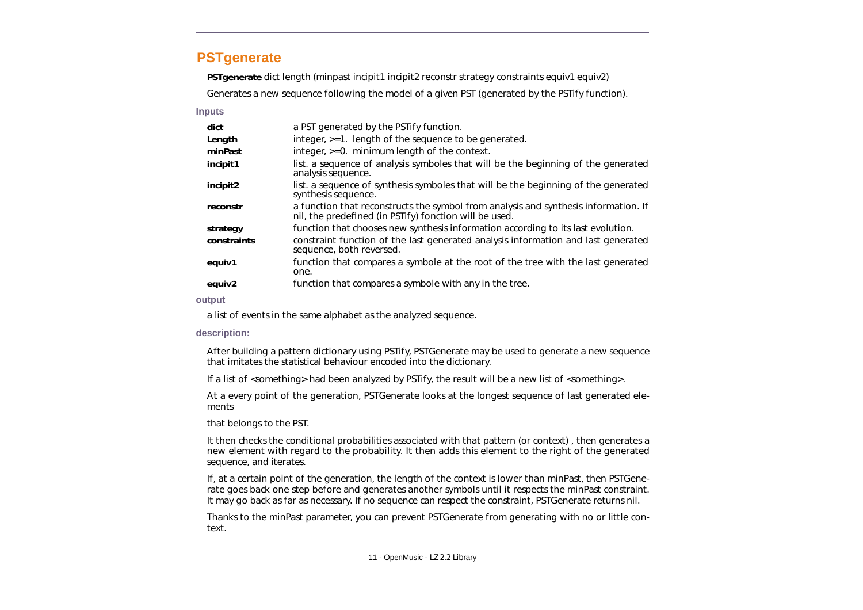### <span id="page-15-0"></span>**PSTgenerate**

**PSTgenerate** *dict length (minpast incipit1 incipit2 reconstr strategy constraints equiv1 equiv2)*

Generates a new sequence following the model of a given PST (generated by the *PSTify* function).

#### **Inputs**

| dict        | a PST generated by the PSTify function.                                                                                                       |
|-------------|-----------------------------------------------------------------------------------------------------------------------------------------------|
| Length      | integer, >=1. length of the sequence to be generated.                                                                                         |
| minPast     | integer, >=0. minimum length of the context.                                                                                                  |
| incipit1    | list. a sequence of analysis symboles that will be the beginning of the generated<br>analysis sequence.                                       |
| incipit2    | list. a sequence of synthesis symboles that will be the beginning of the generated<br>synthesis sequence.                                     |
| reconstr    | a function that reconstructs the symbol from analysis and synthesis information. If<br>nil, the predefined (in PSTify) fonction will be used. |
| strategy    | function that chooses new synthesis information according to its last evolution.                                                              |
| constraints | constraint function of the last generated analysis information and last generated<br>sequence, both reversed.                                 |
| equiv1      | function that compares a symbole at the root of the tree with the last generated<br>one.                                                      |
| equiv2      | function that compares a symbole with any in the tree.                                                                                        |
| output      |                                                                                                                                               |

a list of events in the same alphabet as the analyzed sequence.

#### **description:**

After building a pattern dictionary using PSTify, PSTGenerate may be used to generate a new sequence that imitates the statistical behaviour encoded into the dictionary.

If a list of <something> had been analyzed by PSTify, the result will be a new list of <something>.

At a every point of the generation, PSTGenerate looks at the longest sequence of last generated elements

that belongs to the PST.

It then checks the conditional probabilities associated with that pattern (or context) , then generates a new element with regard to the probability. It then adds this element to the right of the generated sequence, and iterates.

If, at a certain point of the generation, the length of the context is lower than minPast, then PSTGenerate goes back one step before and generates another symbols until it respects the minPast constraint. It may go back as far as necessary. If no sequence can respect the constraint, PSTGenerate returns nil.

Thanks to the minPast parameter, you can prevent PSTGenerate from generating with no or little context.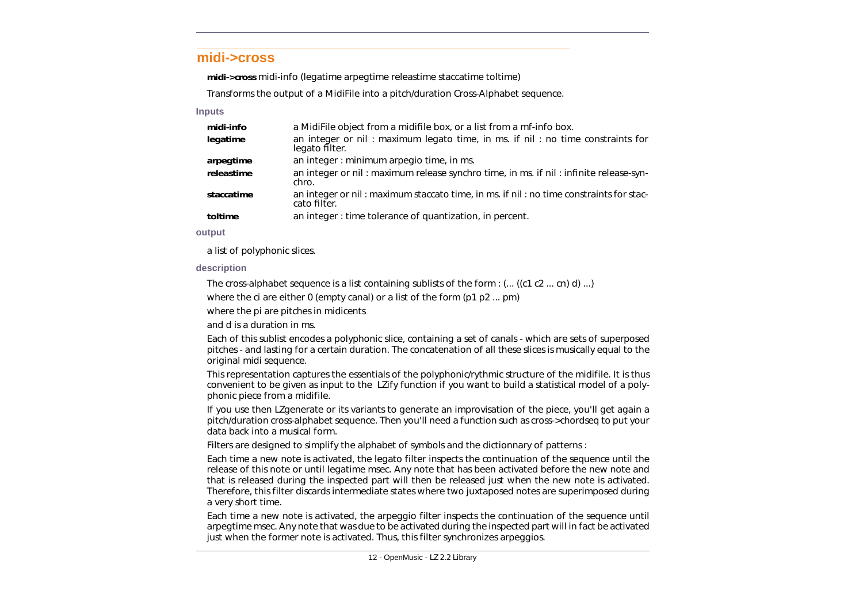### <span id="page-16-0"></span>**midi->cross**

**midi->cross** *midi-info (legatime arpegtime releastime staccatime toltime)*

Transforms the output of a MidiFile into a pitch/duration Cross-Alphabet sequence.

#### **Inputs**

| midi-info  | a MidiFile object from a midifile box, or a list from a mf-info box.                                   |
|------------|--------------------------------------------------------------------------------------------------------|
| legatime   | an integer or nil: maximum legato time, in ms. if nil: no time constraints for<br>legato filter.       |
| arpegtime  | an integer : minimum arpegio time, in ms.                                                              |
| releastime | an integer or nil: maximum release synchro time, in ms. if nil: infinite release-syn-<br>chro.         |
| staccatime | an integer or nil: maximum staccato time, in ms. if nil: no time constraints for stac-<br>cato filter. |
| toltime    | an integer : time tolerance of quantization, in percent.                                               |

#### **output**

a list of polyphonic slices.

### **description**

The cross-alphabet sequence is a list containing sublists of the form : (... ((*c1 c2* ... *cn*) *d*) ...)

where the *ci* are either 0 (empty canal) or a list of the form (*p1 p2* ... *pm*)

where the *pi* are pitches in midicents

and *d* is a duration in ms.

Each of this sublist encodes a polyphonic slice, containing a set of canals - which are sets of superposed pitches - and lasting for a certain duration. The concatenation of all these slices is musically equal to the original midi sequence.

This representation captures the essentials of the polyphonic/rythmic structure of the midifile. It is thus convenient to be given as input to the *LZify* function if you want to build a statistical model of a polyphonic piece from a midifile.

If you use then *LZgenerate* or its variants to generate an improvisation of the piece, you'll get again a pitch/duration cross-alphabet sequence. Then you'll need a function such as *cross->chordseq* to put your data back into a musical form.

Filters are designed to simplify the alphabet of symbols and the dictionnary of patterns :

Each time a new note is activated, the *legato* filter inspects the continuation of the sequence until the release of this note or until *legatime* msec. Any note that has been activated before the new note and that is released during the inspected part will then be released just when the new note is activated. Therefore, this filter discards intermediate states where two juxtaposed notes are superimposed during a very short time.

Each time a new note is activated, the arpeggio filter inspects the continuation of the sequence until *arpegtime* msec. Any note that was due to be activated during the inspected part will in fact be activated just when the former note is activated. Thus, this filter synchronizes arpeggios.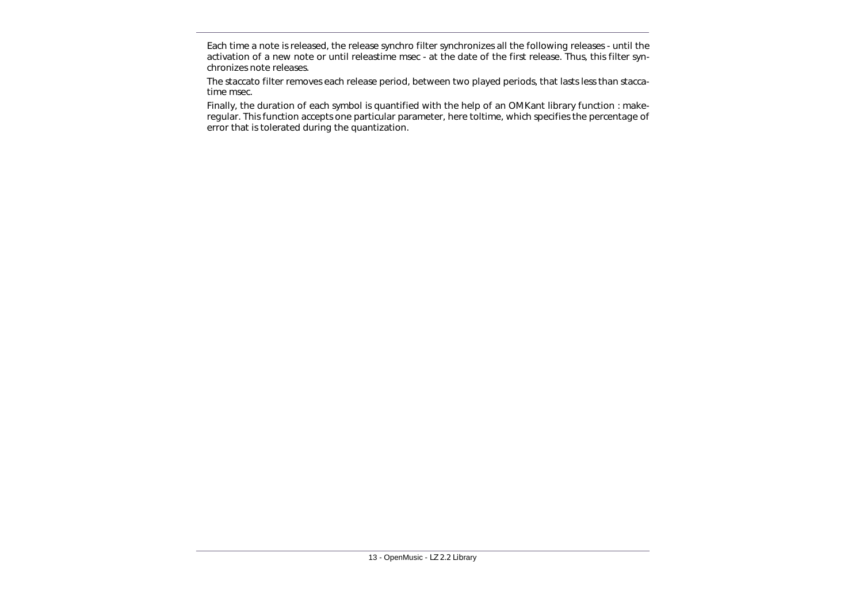Each time a note is released, the release synchro filter synchronizes all the following releases - until the activation of a new note or until *releastime* msec - at the date of the first release. Thus, this filter synchronizes note releases.

The *staccato* filter removes each release period, between two played periods, that lasts less than *staccatime* msec.

Finally, the duration of each symbol is quantified with the help of an OMKant library function : *makeregular*. This function accepts one particular parameter, here *toltime*, which specifies the percentage of error that is tolerated during the quantization.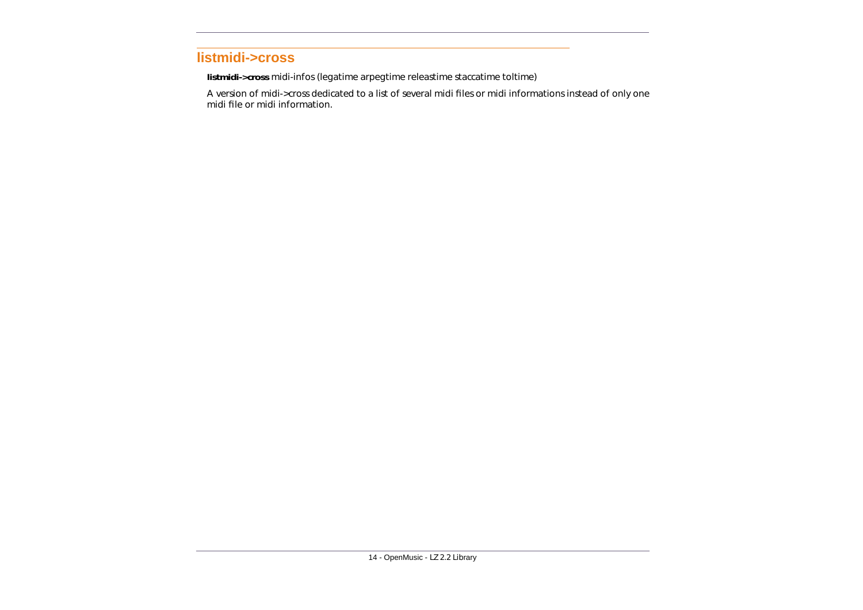### <span id="page-18-0"></span>**listmidi->cross**

**listmidi->cross** *midi-infos (legatime arpegtime releastime staccatime toltime)*

A version of *midi->cross* dedicated to a list of several midi files or midi informations instead of only one midi file or midi information.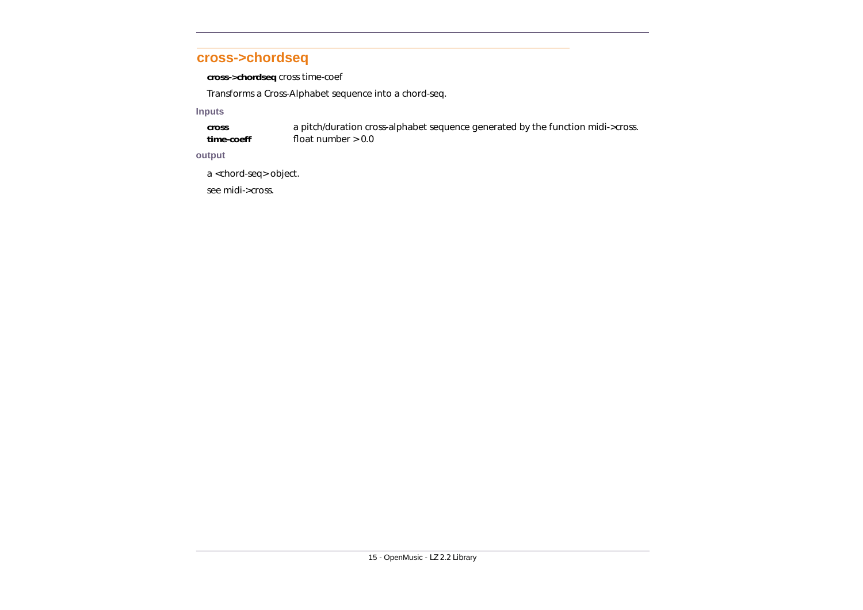### <span id="page-19-0"></span>**cross->chordseq**

**cross->chordseq** *cross time-coef*

Transforms a Cross-Alphabet sequence into a chord-seq.

#### **Inputs**

**cross** a pitch/duration cross-alphabet sequence generated by the function *midi->cross*. **time-coeff** float number > 0.0

#### **output**

a <chord-seq> object.

see *midi->cross*.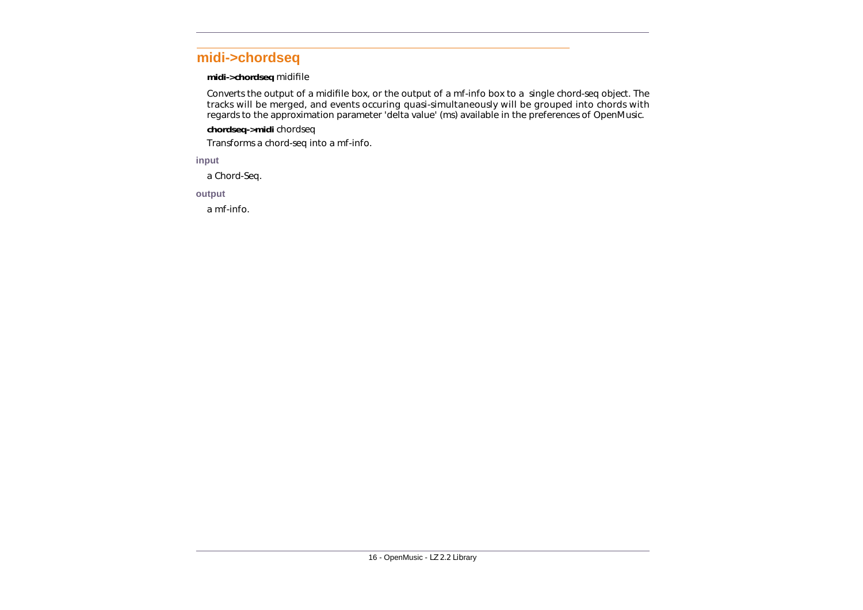### <span id="page-20-0"></span>**midi->chordseq**

#### **midi->chordseq** *midifile*

Converts the output of a *midifile* box, or the output of a *mf-info* box to a single *chord-seq* object. The tracks will be merged, and events occuring quasi-simultaneously will be grouped into chords with regards to the approximation parameter 'delta value' (ms) available in the preferences of OpenMusic.

### **chordseq->midi** *chordseq*

Transforms a *chord-seq* into a *mf-info*.

#### **input**

a Chord-Seq.

#### **output**

a mf-info.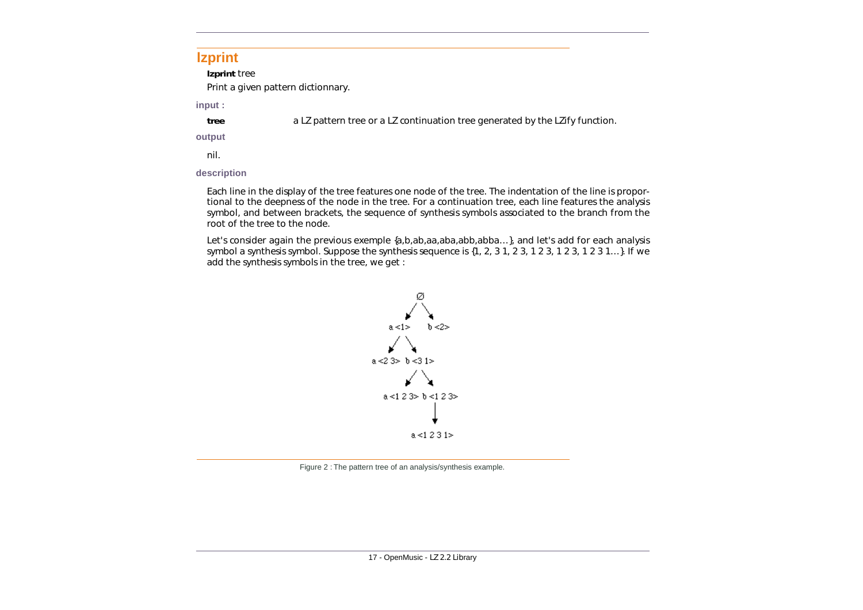### <span id="page-21-0"></span>**lzprint**

**lzprint** *tree*

Print a given pattern dictionnary.

**input :**

**tree** a LZ pattern tree or a LZ continuation tree generated by the *LZify* function.

### **output**

nil.

### **description**

Each line in the display of the tree features one node of the tree. The indentation of the line is proportional to the deepness of the node in the tree. For a continuation tree, each line features the analysis symbol, and between brackets, the sequence of synthesis symbols associated to the branch from the root of the tree to the node.

Let's consider again the previous exemple  $\{a,b,ab,aa,abba,abba...\}$ , and let's add for each analysis symbol a synthesis symbol. Suppose the synthesis sequence is {1, 2, 3 1, 2 3, 1 2 3, 1 2 3, 1 2 3 1…}. If we add the synthesis symbols in the tree, we get :



Figure 2 : The pattern tree of an analysis/synthesis example.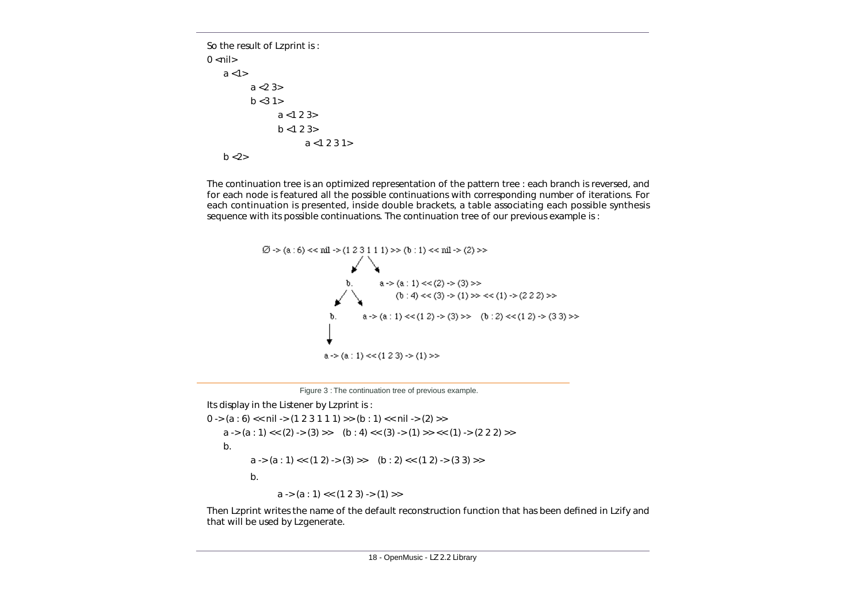So the result of *Lzprint* is :  $0$  <nil>  $a < 1$  $a < 23$  $b < 31$  $a < 123$  $b < 123$  $a < 1231$  $b < 2>$ 

The continuation tree is an optimized representation of the pattern tree : each branch is reversed, and for each node is featured all the possible continuations with corresponding number of iterations. For each continuation is presented, inside double brackets, a table associating each possible synthesis sequence with its possible continuations. The continuation tree of our previous example is :



Figure 3 : The continuation tree of previous example.

Its display in the Listener by *Lzprint* is :

 $0 \rightarrow (a : 6) \ll \text{nil} \rightarrow (1 \ 2 \ 3 \ 1 \ 1 \ 1) \rightarrow (b : 1) \ll \text{nil} \rightarrow (2) \rightarrow$ a -> (a : 1) << (2) -> (3) >> (b : 4) << (3) -> (1) >> << (1) -> (2 2 2) >> b.  $a \rightarrow (a : 1) \ll (1 2) \rightarrow (3) \gg (b : 2) \ll (1 2) \rightarrow (3 3) \gg$ b.  $a \rightarrow (a : 1) \ll (1 2 3) \rightarrow (1) \gg$ 

Then *Lzprint* writes the name of the default reconstruction function that has been defined in *Lzify* and that will be used by *Lzgenerate*.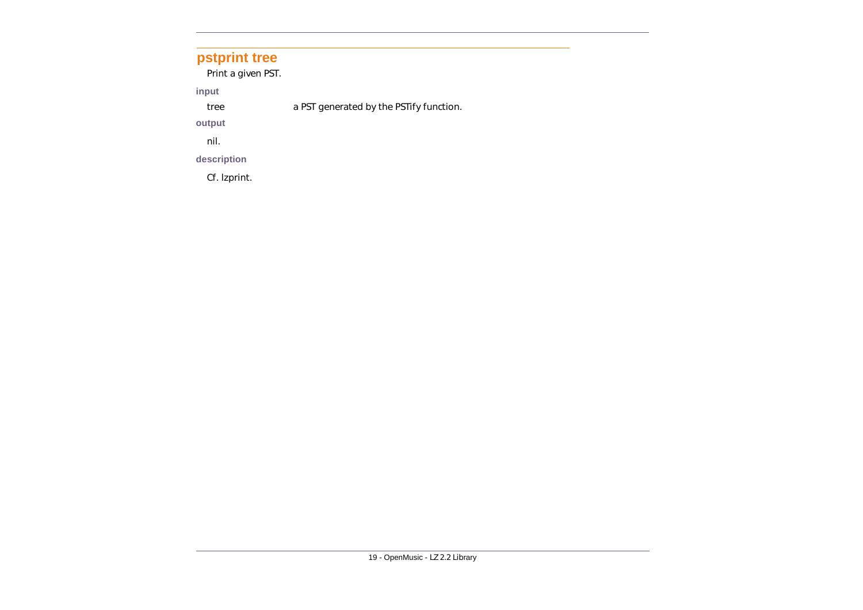### <span id="page-23-0"></span>**pstprint tree**

Print a given PST.

**input** 

tree a PST generated by the *PSTify* function.

**output**

nil.

### **description**

Cf. *lzprint*.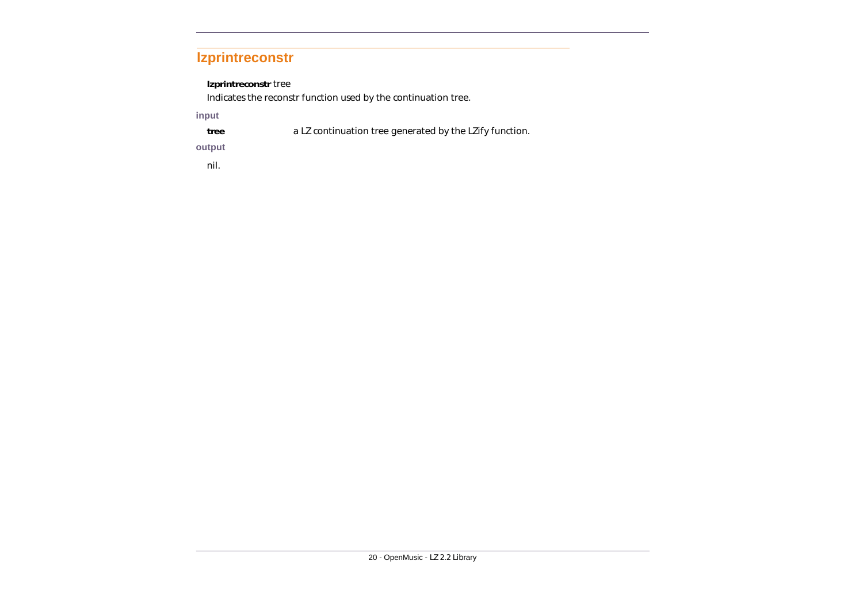### <span id="page-24-0"></span>**lzprintreconstr**

### **lzprintreconstr** *tree*

Indicates the *reconstr* function used by the continuation tree.

### **input**

**tree** a LZ continuation tree generated by the *LZify* function.

### **output**

nil.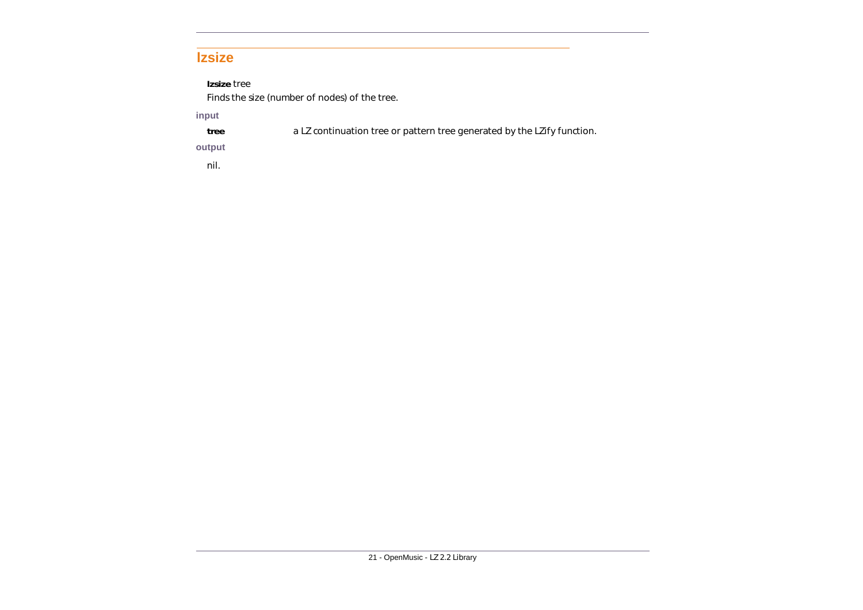### <span id="page-25-0"></span>**lzsize**

### **lzsize** *tree*

Finds the size (number of nodes) of the tree.

### **input**

**tree** a LZ continuation tree or pattern tree generated by the *LZify* function.

### **output**

nil.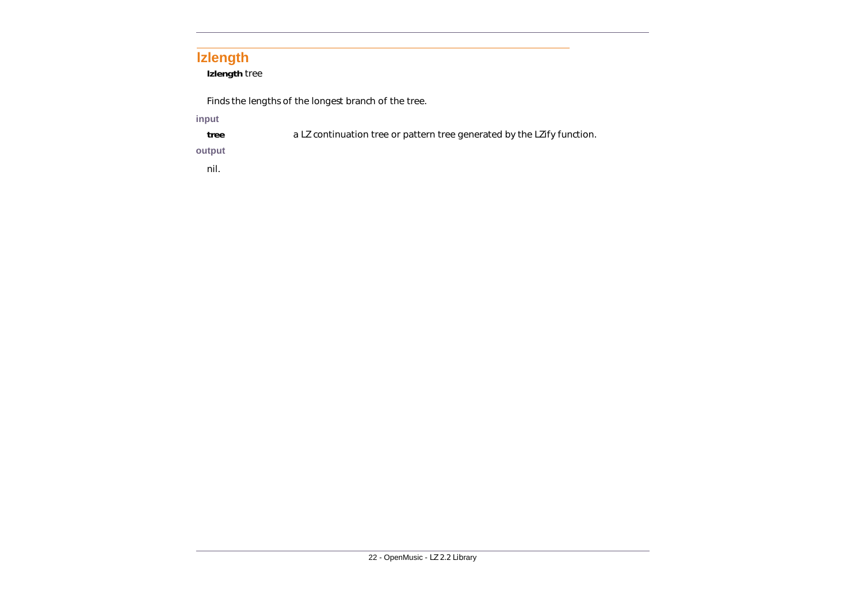### <span id="page-26-0"></span>**lzlength**

**lzlength** *tree*

Finds the lengths of the longest branch of the tree.

### **input**

**tree** a LZ continuation tree or pattern tree generated by the *LZify* function.

### **output**

nil.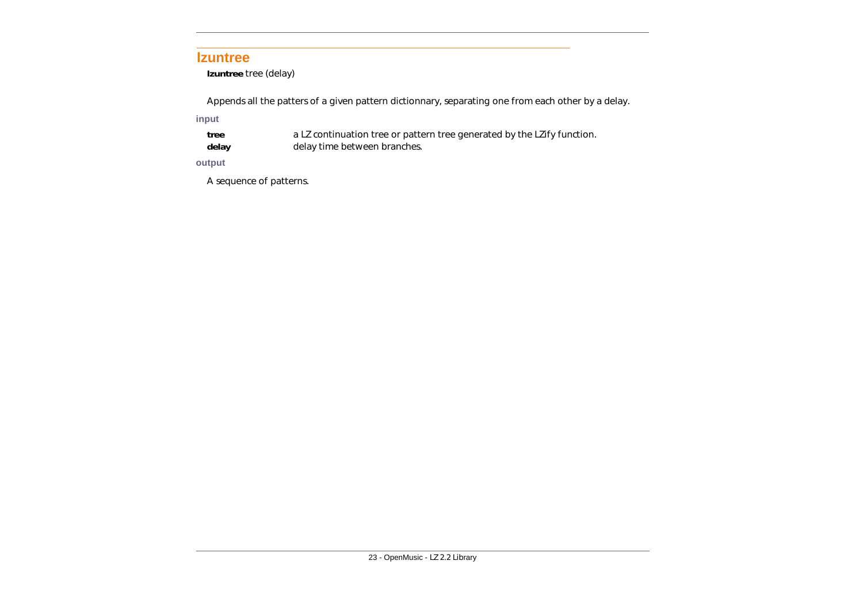### <span id="page-27-0"></span>**lzuntree**

**lzuntree** *tree (delay)*

Appends all the patters of a given pattern dictionnary, separating one from each other by a delay.

**input** 

- **tree** a LZ continuation tree or pattern tree generated by the *LZify* function.
- **delay** delay time between branches.

### **output**

A sequence of patterns.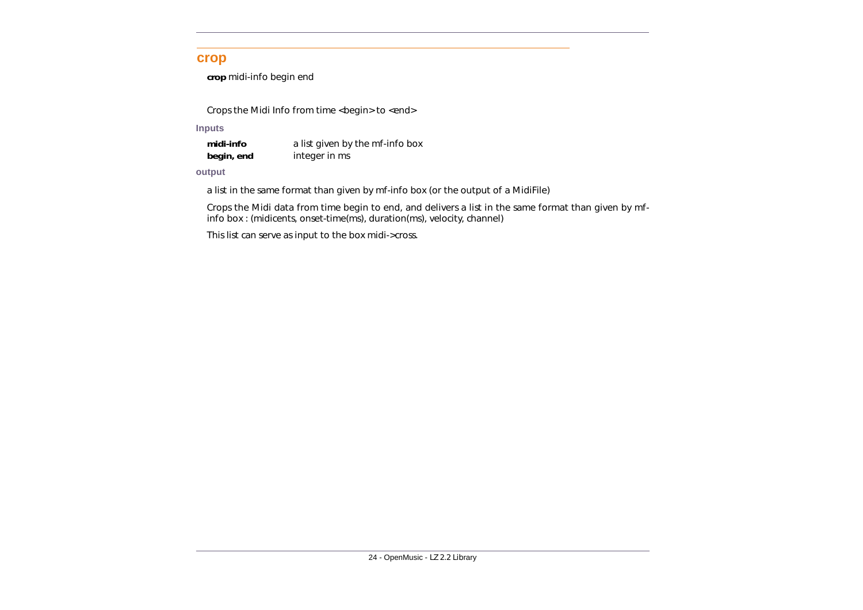### <span id="page-28-0"></span>**crop**

**crop** *midi-info begin end*

Crops the Midi Info from time <begin> to <end>

**Inputs**

**midi-info** a list given by the mf-info box **begin, end** integer in ms

#### **output**

a list in the same format than given by mf-info box (or the output of a MidiFile)

Crops the Midi data from time *begin* to *end*, and delivers a list in the same format than given by mfinfo box : (midicents, onset-time(ms), duration(ms), velocity, channel)

This list can serve as input to the box *midi->cross*.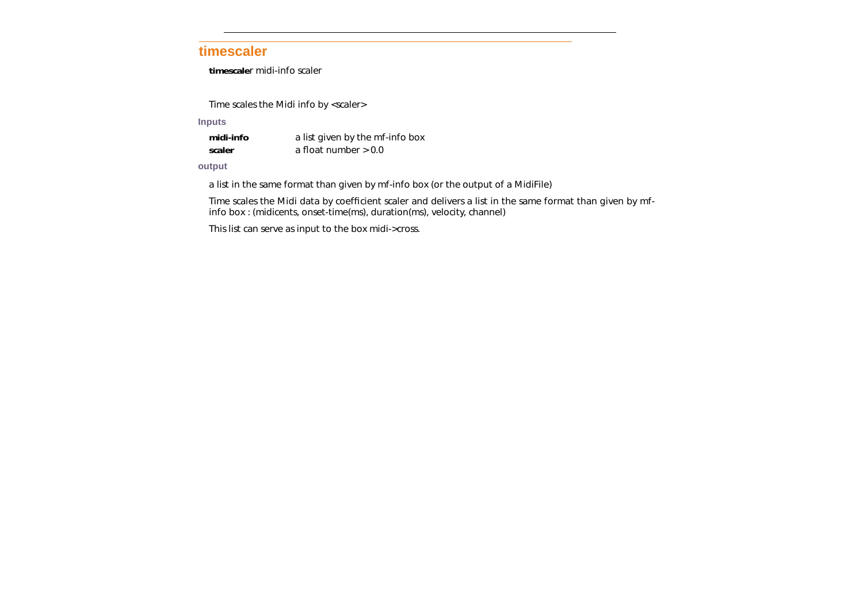### <span id="page-29-0"></span>**timescaler**

**timescale**r *midi-info scaler*

Time scales the Midi info by <scaler>

**Inputs**

| midi-info | a list given by the mf-info box |
|-----------|---------------------------------|
| scaler    | a float number $> 0.0$          |

#### **output**

a list in the same format than given by *mf-info* box (or the output of a MidiFile)

Time scales the Midi data by coefficient *scaler* and delivers a list in the same format than given by mfinfo box : (midicents, onset-time(ms), duration(ms), velocity, channel)

This list can serve as input to the box *midi->cross*.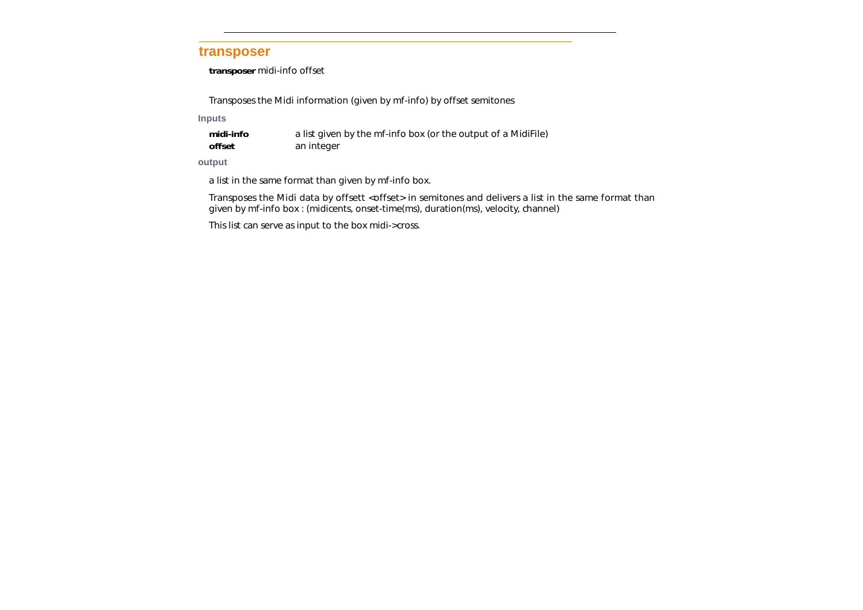### <span id="page-30-0"></span>**transposer**

**transposer** *midi-info offset*

Transposes the Midi information (given by mf-info) by *offset* semitones

**Inputs**

| midi-info | a list given by the mf-info box (or the output of a MidiFile) |
|-----------|---------------------------------------------------------------|
| offset    | an integer                                                    |

#### **output**

a list in the same format than given by mf-info box.

Transposes the Midi data by offsett <offset> in semitones and delivers a list in the same format than given by mf-info box : (midicents, onset-time(ms), duration(ms), velocity, channel)

This list can serve as input to the box *midi->cross*.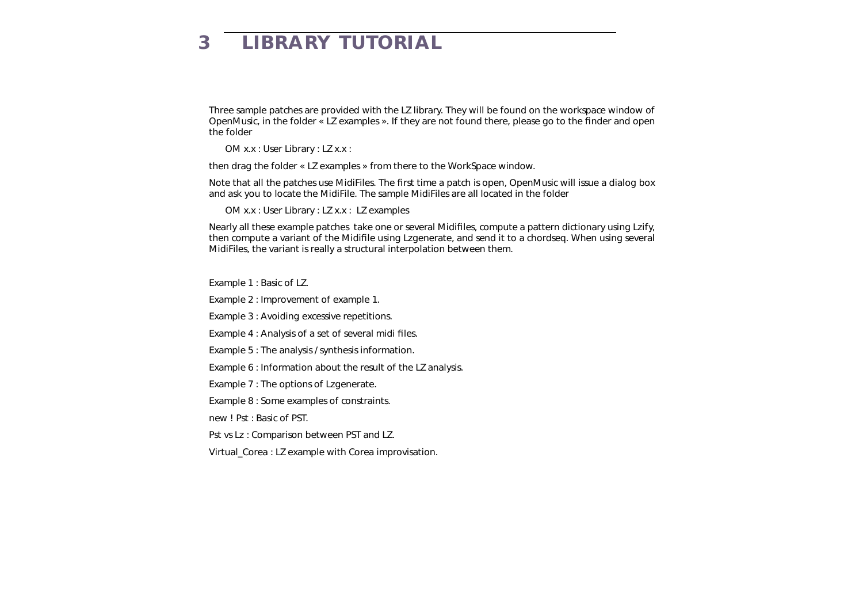# <span id="page-31-0"></span>**3 LIBRARY TUTORIAL**

Three sample patches are provided with the LZ library. They will be found on the workspace window of OpenMusic, in the folder « LZ examples ». If they are not found there, please go to the finder and open the folder

OM x.x : User Library : LZ x.x :

then drag the folder « LZ examples » from there to the WorkSpace window.

Note that all the patches use MidiFiles. The first time a patch is open, OpenMusic will issue a dialog box and ask you to locate the MidiFile. The sample MidiFiles are all located in the folder

OM x.x : User Library : LZ x.x : LZ examples

Nearly all these example patches take one or several Midifiles, compute a pattern dictionary using Lzify, then compute a variant of the Midifile using Lzgenerate, and send it to a chordseq. When using several MidiFiles, the variant is really a structural interpolation between them.

Example 1 : Basic of LZ.

Example 2 : Improvement of example 1.

Example 3 : Avoiding excessive repetitions.

Example 4 : Analysis of a set of several midi files.

- Example 5 : The analysis / synthesis information.
- Example 6 : Information about the result of the LZ analysis.

Example 7 : The options of Lzgenerate.

Example 8 : Some examples of constraints.

new ! Pst : Basic of PST.

Pst vs Lz : Comparison between PST and LZ.

Virtual Corea : LZ example with Corea improvisation.